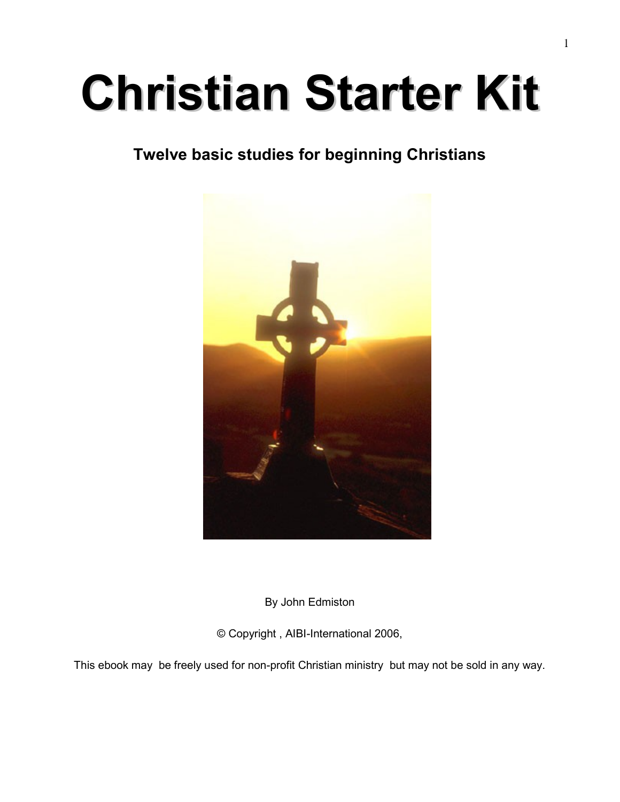# **Christian Starter Kit**

## **Twelve basic studies for beginning Christians**



By John Edmiston

© Copyright , AIBI-International 2006,

This ebook may be freely used for non-profit Christian ministry but may not be sold in any way.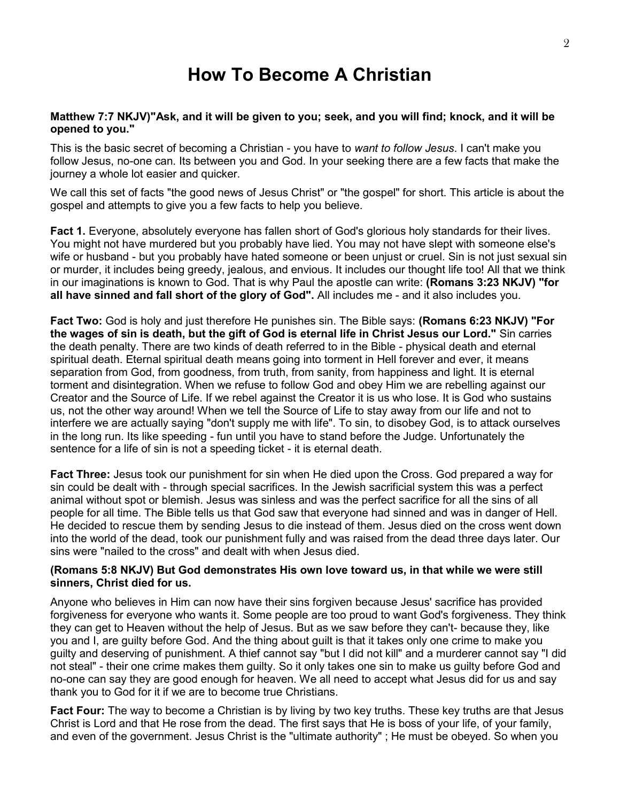## **How To Become A Christian**

#### **Matthew 7:7 NKJV)"Ask, and it will be given to you; seek, and you will find; knock, and it will be opened to you."**

This is the basic secret of becoming a Christian - you have to *want to follow Jesus*. I can't make you follow Jesus, no-one can. Its between you and God. In your seeking there are a few facts that make the journey a whole lot easier and quicker.

We call this set of facts "the good news of Jesus Christ" or "the gospel" for short. This article is about the gospel and attempts to give you a few facts to help you believe.

**Fact 1.** Everyone, absolutely everyone has fallen short of God's glorious holy standards for their lives. You might not have murdered but you probably have lied. You may not have slept with someone else's wife or husband - but you probably have hated someone or been unjust or cruel. Sin is not just sexual sin or murder, it includes being greedy, jealous, and envious. It includes our thought life too! All that we think in our imaginations is known to God. That is why Paul the apostle can write: **(Romans 3:23 NKJV) "for all have sinned and fall short of the glory of God".** All includes me - and it also includes you.

**Fact Two:** God is holy and just therefore He punishes sin. The Bible says: **(Romans 6:23 NKJV) "For the wages of sin is death, but the gift of God is eternal life in Christ Jesus our Lord."** Sin carries the death penalty. There are two kinds of death referred to in the Bible - physical death and eternal spiritual death. Eternal spiritual death means going into torment in Hell forever and ever, it means separation from God, from goodness, from truth, from sanity, from happiness and light. It is eternal torment and disintegration. When we refuse to follow God and obey Him we are rebelling against our Creator and the Source of Life. If we rebel against the Creator it is us who lose. It is God who sustains us, not the other way around! When we tell the Source of Life to stay away from our life and not to interfere we are actually saying "don't supply me with life". To sin, to disobey God, is to attack ourselves in the long run. Its like speeding - fun until you have to stand before the Judge. Unfortunately the sentence for a life of sin is not a speeding ticket - it is eternal death.

**Fact Three:** Jesus took our punishment for sin when He died upon the Cross. God prepared a way for sin could be dealt with - through special sacrifices. In the Jewish sacrificial system this was a perfect animal without spot or blemish. Jesus was sinless and was the perfect sacrifice for all the sins of all people for all time. The Bible tells us that God saw that everyone had sinned and was in danger of Hell. He decided to rescue them by sending Jesus to die instead of them. Jesus died on the cross went down into the world of the dead, took our punishment fully and was raised from the dead three days later. Our sins were "nailed to the cross" and dealt with when Jesus died.

#### **(Romans 5:8 NKJV) But God demonstrates His own love toward us, in that while we were still sinners, Christ died for us.**

Anyone who believes in Him can now have their sins forgiven because Jesus' sacrifice has provided forgiveness for everyone who wants it. Some people are too proud to want God's forgiveness. They think they can get to Heaven without the help of Jesus. But as we saw before they can't- because they, like you and I, are guilty before God. And the thing about guilt is that it takes only one crime to make you guilty and deserving of punishment. A thief cannot say "but I did not kill" and a murderer cannot say "I did not steal" - their one crime makes them guilty. So it only takes one sin to make us guilty before God and no-one can say they are good enough for heaven. We all need to accept what Jesus did for us and say thank you to God for it if we are to become true Christians.

**Fact Four:** The way to become a Christian is by living by two key truths. These key truths are that Jesus Christ is Lord and that He rose from the dead. The first says that He is boss of your life, of your family, and even of the government. Jesus Christ is the "ultimate authority" ; He must be obeyed. So when you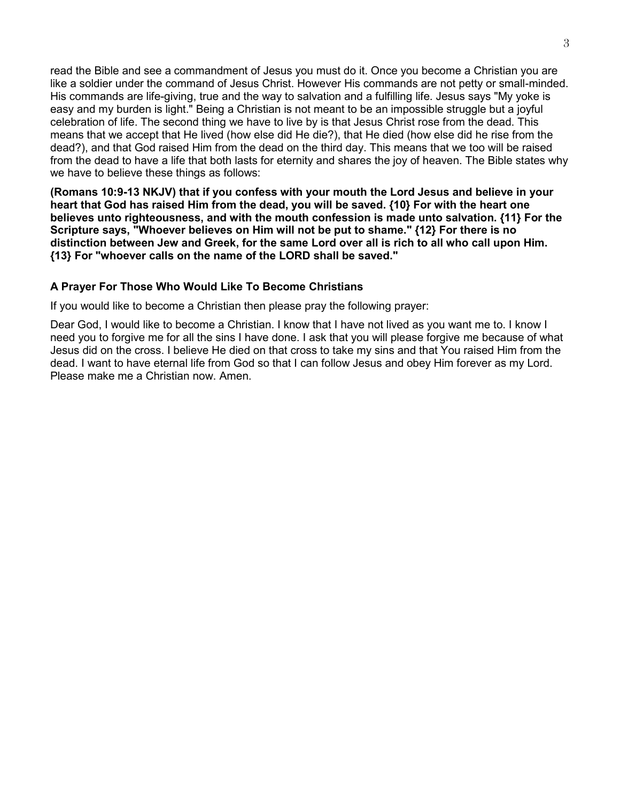read the Bible and see a commandment of Jesus you must do it. Once you become a Christian you are like a soldier under the command of Jesus Christ. However His commands are not petty or small-minded. His commands are life-giving, true and the way to salvation and a fulfilling life. Jesus says "My yoke is easy and my burden is light." Being a Christian is not meant to be an impossible struggle but a joyful celebration of life. The second thing we have to live by is that Jesus Christ rose from the dead. This means that we accept that He lived (how else did He die?), that He died (how else did he rise from the dead?), and that God raised Him from the dead on the third day. This means that we too will be raised from the dead to have a life that both lasts for eternity and shares the joy of heaven. The Bible states why we have to believe these things as follows:

**(Romans 10:9-13 NKJV) that if you confess with your mouth the Lord Jesus and believe in your heart that God has raised Him from the dead, you will be saved. {10} For with the heart one believes unto righteousness, and with the mouth confession is made unto salvation. {11} For the Scripture says, "Whoever believes on Him will not be put to shame." {12} For there is no distinction between Jew and Greek, for the same Lord over all is rich to all who call upon Him. {13} For "whoever calls on the name of the LORD shall be saved."**

## **A Prayer For Those Who Would Like To Become Christians**

If you would like to become a Christian then please pray the following prayer:

Dear God, I would like to become a Christian. I know that I have not lived as you want me to. I know I need you to forgive me for all the sins I have done. I ask that you will please forgive me because of what Jesus did on the cross. I believe He died on that cross to take my sins and that You raised Him from the dead. I want to have eternal life from God so that I can follow Jesus and obey Him forever as my Lord. Please make me a Christian now. Amen.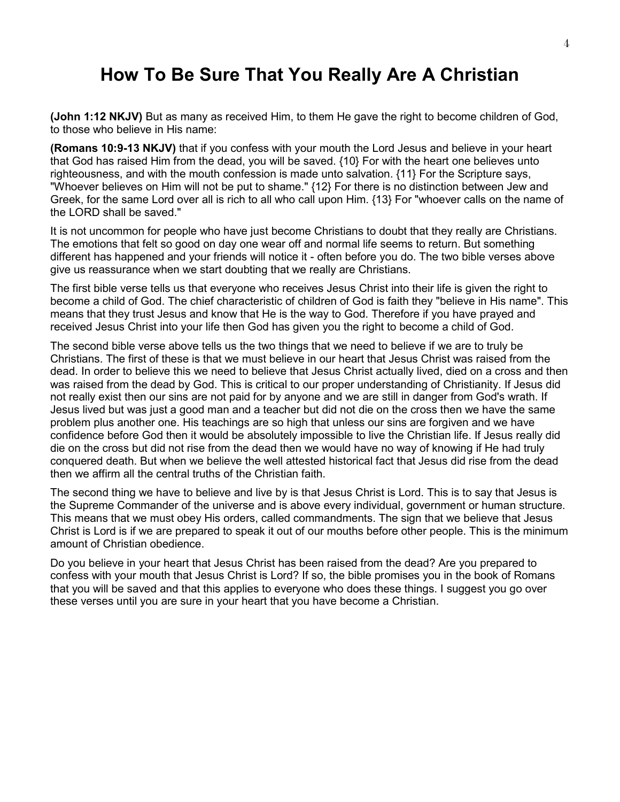## **How To Be Sure That You Really Are A Christian**

**(John 1:12 NKJV)** But as many as received Him, to them He gave the right to become children of God, to those who believe in His name:

**(Romans 10:9-13 NKJV)** that if you confess with your mouth the Lord Jesus and believe in your heart that God has raised Him from the dead, you will be saved. {10} For with the heart one believes unto righteousness, and with the mouth confession is made unto salvation. {11} For the Scripture says, "Whoever believes on Him will not be put to shame." {12} For there is no distinction between Jew and Greek, for the same Lord over all is rich to all who call upon Him. {13} For "whoever calls on the name of the LORD shall be saved."

It is not uncommon for people who have just become Christians to doubt that they really are Christians. The emotions that felt so good on day one wear off and normal life seems to return. But something different has happened and your friends will notice it - often before you do. The two bible verses above give us reassurance when we start doubting that we really are Christians.

The first bible verse tells us that everyone who receives Jesus Christ into their life is given the right to become a child of God. The chief characteristic of children of God is faith they "believe in His name". This means that they trust Jesus and know that He is the way to God. Therefore if you have prayed and received Jesus Christ into your life then God has given you the right to become a child of God.

The second bible verse above tells us the two things that we need to believe if we are to truly be Christians. The first of these is that we must believe in our heart that Jesus Christ was raised from the dead. In order to believe this we need to believe that Jesus Christ actually lived, died on a cross and then was raised from the dead by God. This is critical to our proper understanding of Christianity. If Jesus did not really exist then our sins are not paid for by anyone and we are still in danger from God's wrath. If Jesus lived but was just a good man and a teacher but did not die on the cross then we have the same problem plus another one. His teachings are so high that unless our sins are forgiven and we have confidence before God then it would be absolutely impossible to live the Christian life. If Jesus really did die on the cross but did not rise from the dead then we would have no way of knowing if He had truly conquered death. But when we believe the well attested historical fact that Jesus did rise from the dead then we affirm all the central truths of the Christian faith.

The second thing we have to believe and live by is that Jesus Christ is Lord. This is to say that Jesus is the Supreme Commander of the universe and is above every individual, government or human structure. This means that we must obey His orders, called commandments. The sign that we believe that Jesus Christ is Lord is if we are prepared to speak it out of our mouths before other people. This is the minimum amount of Christian obedience.

Do you believe in your heart that Jesus Christ has been raised from the dead? Are you prepared to confess with your mouth that Jesus Christ is Lord? If so, the bible promises you in the book of Romans that you will be saved and that this applies to everyone who does these things. I suggest you go over these verses until you are sure in your heart that you have become a Christian.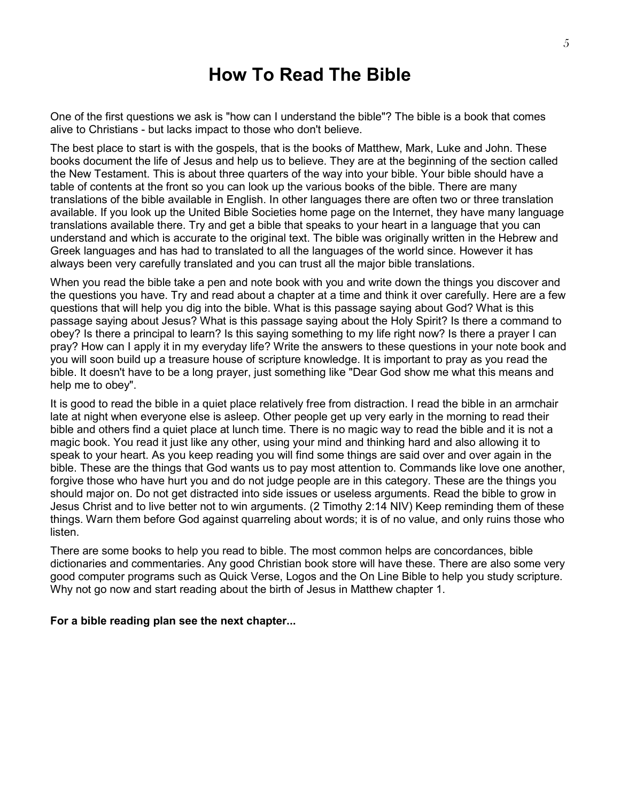## **How To Read The Bible**

One of the first questions we ask is "how can I understand the bible"? The bible is a book that comes alive to Christians - but lacks impact to those who don't believe.

The best place to start is with the gospels, that is the books of Matthew, Mark, Luke and John. These books document the life of Jesus and help us to believe. They are at the beginning of the section called the New Testament. This is about three quarters of the way into your bible. Your bible should have a table of contents at the front so you can look up the various books of the bible. There are many translations of the bible available in English. In other languages there are often two or three translation available. If you look up the United Bible Societies home page on the Internet, they have many language translations available there. Try and get a bible that speaks to your heart in a language that you can understand and which is accurate to the original text. The bible was originally written in the Hebrew and Greek languages and has had to translated to all the languages of the world since. However it has always been very carefully translated and you can trust all the major bible translations.

When you read the bible take a pen and note book with you and write down the things you discover and the questions you have. Try and read about a chapter at a time and think it over carefully. Here are a few questions that will help you dig into the bible. What is this passage saying about God? What is this passage saying about Jesus? What is this passage saying about the Holy Spirit? Is there a command to obey? Is there a principal to learn? Is this saying something to my life right now? Is there a prayer I can pray? How can I apply it in my everyday life? Write the answers to these questions in your note book and you will soon build up a treasure house of scripture knowledge. It is important to pray as you read the bible. It doesn't have to be a long prayer, just something like "Dear God show me what this means and help me to obey".

It is good to read the bible in a quiet place relatively free from distraction. I read the bible in an armchair late at night when everyone else is asleep. Other people get up very early in the morning to read their bible and others find a quiet place at lunch time. There is no magic way to read the bible and it is not a magic book. You read it just like any other, using your mind and thinking hard and also allowing it to speak to your heart. As you keep reading you will find some things are said over and over again in the bible. These are the things that God wants us to pay most attention to. Commands like love one another, forgive those who have hurt you and do not judge people are in this category. These are the things you should major on. Do not get distracted into side issues or useless arguments. Read the bible to grow in Jesus Christ and to live better not to win arguments. (2 Timothy 2:14 NIV) Keep reminding them of these things. Warn them before God against quarreling about words; it is of no value, and only ruins those who listen.

There are some books to help you read to bible. The most common helps are concordances, bible dictionaries and commentaries. Any good Christian book store will have these. There are also some very good computer programs such as Quick Verse, Logos and the On Line Bible to help you study scripture. Why not go now and start reading about the birth of Jesus in Matthew chapter 1.

#### **For a bible reading plan see the next chapter...**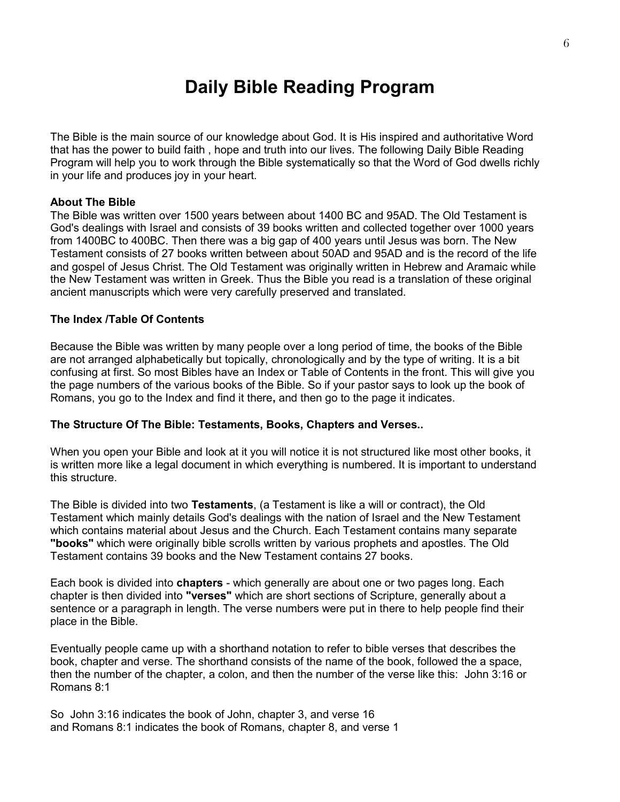# **Daily Bible Reading Program**

The Bible is the main source of our knowledge about God. It is His inspired and authoritative Word that has the power to build faith , hope and truth into our lives. The following Daily Bible Reading Program will help you to work through the Bible systematically so that the Word of God dwells richly in your life and produces joy in your heart.

#### **About The Bible**

The Bible was written over 1500 years between about 1400 BC and 95AD. The Old Testament is God's dealings with Israel and consists of 39 books written and collected together over 1000 years from 1400BC to 400BC. Then there was a big gap of 400 years until Jesus was born. The New Testament consists of 27 books written between about 50AD and 95AD and is the record of the life and gospel of Jesus Christ. The Old Testament was originally written in Hebrew and Aramaic while the New Testament was written in Greek. Thus the Bible you read is a translation of these original ancient manuscripts which were very carefully preserved and translated.

#### **The Index /Table Of Contents**

Because the Bible was written by many people over a long period of time, the books of the Bible are not arranged alphabetically but topically, chronologically and by the type of writing. It is a bit confusing at first. So most Bibles have an Index or Table of Contents in the front. This will give you the page numbers of the various books of the Bible. So if your pastor says to look up the book of Romans, you go to the Index and find it there**,** and then go to the page it indicates.

#### **The Structure Of The Bible: Testaments, Books, Chapters and Verses..**

When you open your Bible and look at it you will notice it is not structured like most other books, it is written more like a legal document in which everything is numbered. It is important to understand this structure.

The Bible is divided into two **Testaments**, (a Testament is like a will or contract), the Old Testament which mainly details God's dealings with the nation of Israel and the New Testament which contains material about Jesus and the Church. Each Testament contains many separate **"books"** which were originally bible scrolls written by various prophets and apostles. The Old Testament contains 39 books and the New Testament contains 27 books.

Each book is divided into **chapters** - which generally are about one or two pages long. Each chapter is then divided into **"verses"** which are short sections of Scripture, generally about a sentence or a paragraph in length. The verse numbers were put in there to help people find their place in the Bible.

Eventually people came up with a shorthand notation to refer to bible verses that describes the book, chapter and verse. The shorthand consists of the name of the book, followed the a space, then the number of the chapter, a colon, and then the number of the verse like this: John 3:16 or Romans 8:1

So John 3:16 indicates the book of John, chapter 3, and verse 16 and Romans 8:1 indicates the book of Romans, chapter 8, and verse 1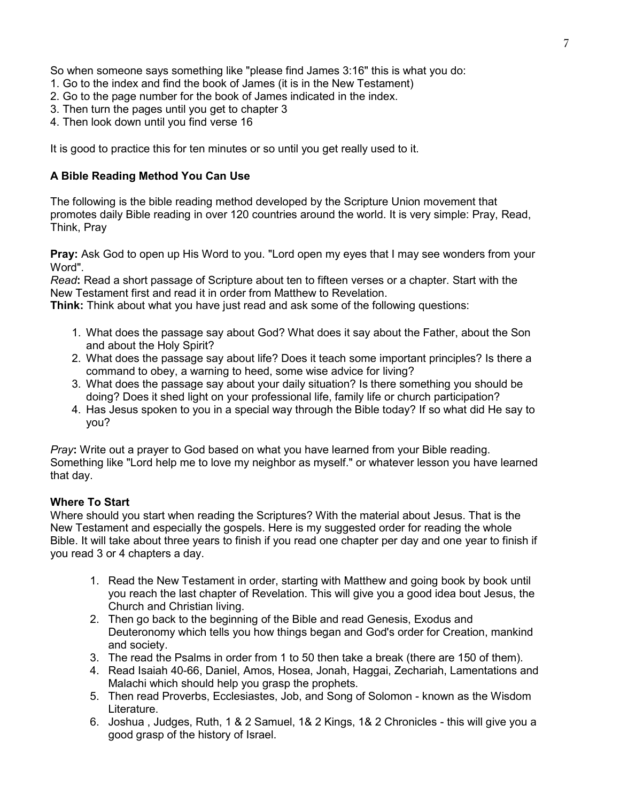So when someone says something like "please find James 3:16" this is what you do:

- 1. Go to the index and find the book of James (it is in the New Testament)
- 2. Go to the page number for the book of James indicated in the index.
- 3. Then turn the pages until you get to chapter 3
- 4. Then look down until you find verse 16

It is good to practice this for ten minutes or so until you get really used to it.

## **A Bible Reading Method You Can Use**

The following is the bible reading method developed by the Scripture Union movement that promotes daily Bible reading in over 120 countries around the world. It is very simple: Pray, Read, Think, Pray

**Pray:** Ask God to open up His Word to you. "Lord open my eyes that I may see wonders from your Word".

*Read***:** Read a short passage of Scripture about ten to fifteen verses or a chapter. Start with the New Testament first and read it in order from Matthew to Revelation.

**Think:** Think about what you have just read and ask some of the following questions:

- 1. What does the passage say about God? What does it say about the Father, about the Son and about the Holy Spirit?
- 2. What does the passage say about life? Does it teach some important principles? Is there a command to obey, a warning to heed, some wise advice for living?
- 3. What does the passage say about your daily situation? Is there something you should be doing? Does it shed light on your professional life, family life or church participation?
- 4. Has Jesus spoken to you in a special way through the Bible today? If so what did He say to you?

*Pray***:** Write out a prayer to God based on what you have learned from your Bible reading. Something like "Lord help me to love my neighbor as myself." or whatever lesson you have learned that day.

#### **Where To Start**

Where should you start when reading the Scriptures? With the material about Jesus. That is the New Testament and especially the gospels. Here is my suggested order for reading the whole Bible. It will take about three years to finish if you read one chapter per day and one year to finish if you read 3 or 4 chapters a day.

- 1. Read the New Testament in order, starting with Matthew and going book by book until you reach the last chapter of Revelation. This will give you a good idea bout Jesus, the Church and Christian living.
- 2. Then go back to the beginning of the Bible and read Genesis, Exodus and Deuteronomy which tells you how things began and God's order for Creation, mankind and society.
- 3. The read the Psalms in order from 1 to 50 then take a break (there are 150 of them).
- 4. Read Isaiah 40-66, Daniel, Amos, Hosea, Jonah, Haggai, Zechariah, Lamentations and Malachi which should help you grasp the prophets.
- 5. Then read Proverbs, Ecclesiastes, Job, and Song of Solomon known as the Wisdom Literature.
- 6. Joshua , Judges, Ruth, 1 & 2 Samuel, 1& 2 Kings, 1& 2 Chronicles this will give you a good grasp of the history of Israel.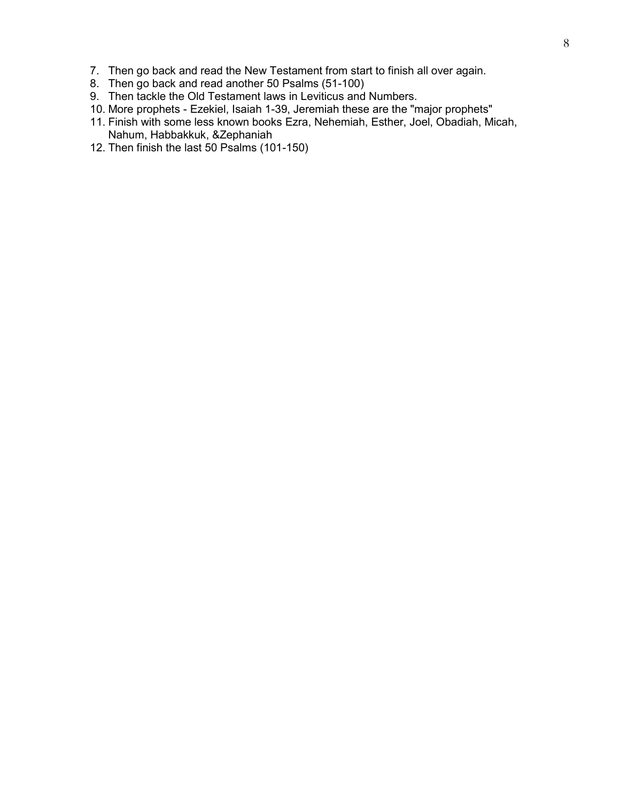- 7. Then go back and read the New Testament from start to finish all over again.
- 8. Then go back and read another 50 Psalms (51-100)
- 9. Then tackle the Old Testament laws in Leviticus and Numbers.
- 10. More prophets Ezekiel, Isaiah 1-39, Jeremiah these are the "major prophets"
- 11. Finish with some less known books Ezra, Nehemiah, Esther, Joel, Obadiah, Micah, Nahum, Habbakkuk, &Zephaniah
- 12. Then finish the last 50 Psalms (101-150)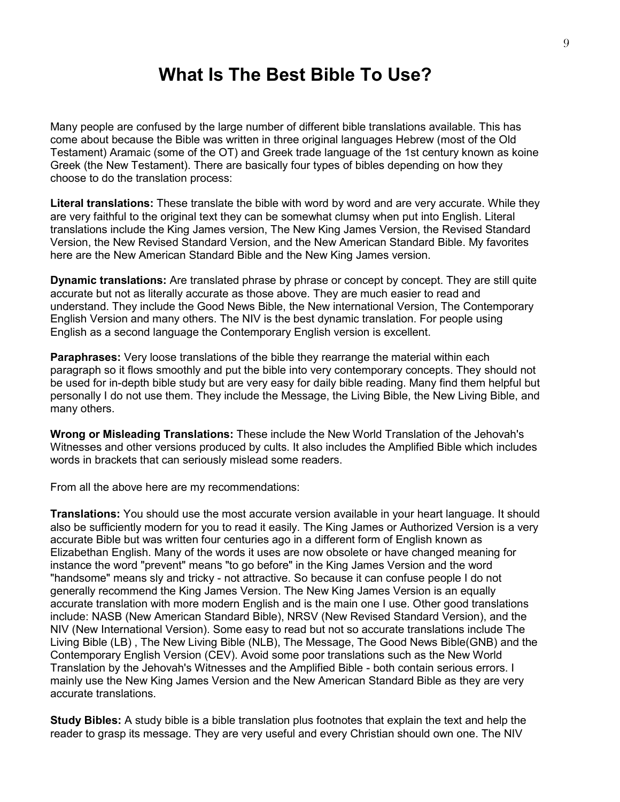## **What Is The Best Bible To Use?**

Many people are confused by the large number of different bible translations available. This has come about because the Bible was written in three original languages Hebrew (most of the Old Testament) Aramaic (some of the OT) and Greek trade language of the 1st century known as koine Greek (the New Testament). There are basically four types of bibles depending on how they choose to do the translation process:

**Literal translations:** These translate the bible with word by word and are very accurate. While they are very faithful to the original text they can be somewhat clumsy when put into English. Literal translations include the King James version, The New King James Version, the Revised Standard Version, the New Revised Standard Version, and the New American Standard Bible. My favorites here are the New American Standard Bible and the New King James version.

**Dynamic translations:** Are translated phrase by phrase or concept by concept. They are still quite accurate but not as literally accurate as those above. They are much easier to read and understand. They include the Good News Bible, the New international Version, The Contemporary English Version and many others. The NIV is the best dynamic translation. For people using English as a second language the Contemporary English version is excellent.

**Paraphrases:** Very loose translations of the bible they rearrange the material within each paragraph so it flows smoothly and put the bible into very contemporary concepts. They should not be used for in-depth bible study but are very easy for daily bible reading. Many find them helpful but personally I do not use them. They include the Message, the Living Bible, the New Living Bible, and many others.

**Wrong or Misleading Translations:** These include the New World Translation of the Jehovah's Witnesses and other versions produced by cults. It also includes the Amplified Bible which includes words in brackets that can seriously mislead some readers.

From all the above here are my recommendations:

**Translations:** You should use the most accurate version available in your heart language. It should also be sufficiently modern for you to read it easily. The King James or Authorized Version is a very accurate Bible but was written four centuries ago in a different form of English known as Elizabethan English. Many of the words it uses are now obsolete or have changed meaning for instance the word "prevent" means "to go before" in the King James Version and the word "handsome" means sly and tricky - not attractive. So because it can confuse people I do not generally recommend the King James Version. The New King James Version is an equally accurate translation with more modern English and is the main one I use. Other good translations include: NASB (New American Standard Bible), NRSV (New Revised Standard Version), and the NIV (New International Version). Some easy to read but not so accurate translations include The Living Bible (LB) , The New Living Bible (NLB), The Message, The Good News Bible(GNB) and the Contemporary English Version (CEV). Avoid some poor translations such as the New World Translation by the Jehovah's Witnesses and the Amplified Bible - both contain serious errors. I mainly use the New King James Version and the New American Standard Bible as they are very accurate translations.

**Study Bibles:** A study bible is a bible translation plus footnotes that explain the text and help the reader to grasp its message. They are very useful and every Christian should own one. The NIV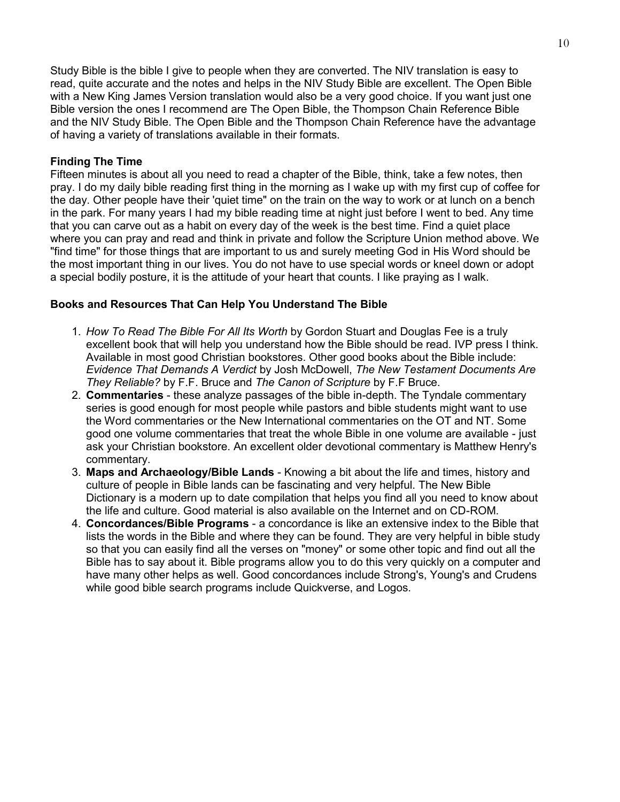Study Bible is the bible I give to people when they are converted. The NIV translation is easy to read, quite accurate and the notes and helps in the NIV Study Bible are excellent. The Open Bible with a New King James Version translation would also be a very good choice. If you want just one Bible version the ones I recommend are The Open Bible, the Thompson Chain Reference Bible and the NIV Study Bible. The Open Bible and the Thompson Chain Reference have the advantage of having a variety of translations available in their formats.

## **Finding The Time**

Fifteen minutes is about all you need to read a chapter of the Bible, think, take a few notes, then pray. I do my daily bible reading first thing in the morning as I wake up with my first cup of coffee for the day. Other people have their 'quiet time" on the train on the way to work or at lunch on a bench in the park. For many years I had my bible reading time at night just before I went to bed. Any time that you can carve out as a habit on every day of the week is the best time. Find a quiet place where you can pray and read and think in private and follow the Scripture Union method above. We "find time" for those things that are important to us and surely meeting God in His Word should be the most important thing in our lives. You do not have to use special words or kneel down or adopt a special bodily posture, it is the attitude of your heart that counts. I like praying as I walk.

## **Books and Resources That Can Help You Understand The Bible**

- 1. *How To Read The Bible For All Its Worth* by Gordon Stuart and Douglas Fee is a truly excellent book that will help you understand how the Bible should be read. IVP press I think. Available in most good Christian bookstores. Other good books about the Bible include: *Evidence That Demands A Verdict* by Josh McDowell, *The New Testament Documents Are They Reliable?* by F.F. Bruce and *The Canon of Scripture* by F.F Bruce.
- 2. **Commentaries** these analyze passages of the bible in-depth. The Tyndale commentary series is good enough for most people while pastors and bible students might want to use the Word commentaries or the New International commentaries on the OT and NT. Some good one volume commentaries that treat the whole Bible in one volume are available - just ask your Christian bookstore. An excellent older devotional commentary is Matthew Henry's commentary.
- 3. **Maps and Archaeology/Bible Lands** Knowing a bit about the life and times, history and culture of people in Bible lands can be fascinating and very helpful. The New Bible Dictionary is a modern up to date compilation that helps you find all you need to know about the life and culture. Good material is also available on the Internet and on CD-ROM.
- 4. **Concordances/Bible Programs** a concordance is like an extensive index to the Bible that lists the words in the Bible and where they can be found. They are very helpful in bible study so that you can easily find all the verses on "money" or some other topic and find out all the Bible has to say about it. Bible programs allow you to do this very quickly on a computer and have many other helps as well. Good concordances include Strong's, Young's and Crudens while good bible search programs include Quickverse, and Logos.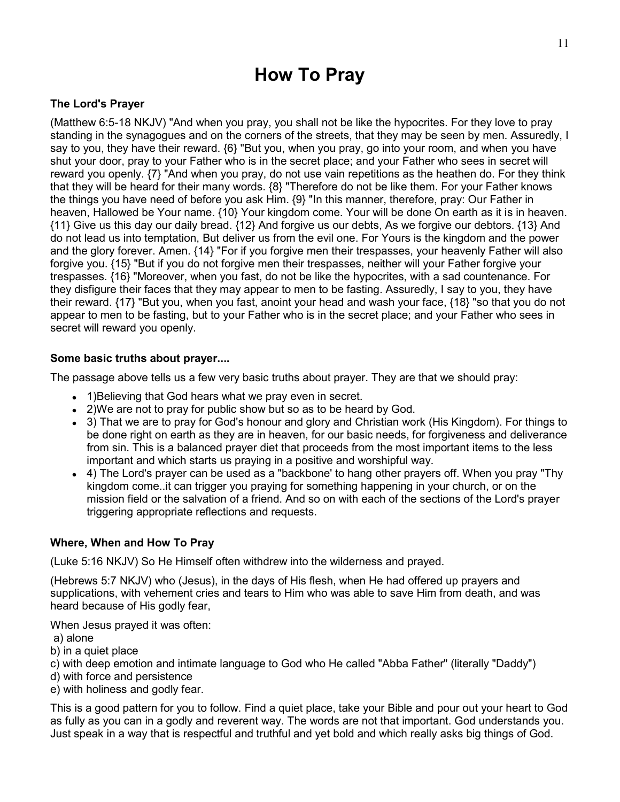# **How To Pray**

## **The Lord's Prayer**

(Matthew 6:5-18 NKJV) "And when you pray, you shall not be like the hypocrites. For they love to pray standing in the synagogues and on the corners of the streets, that they may be seen by men. Assuredly, I say to you, they have their reward. {6} "But you, when you pray, go into your room, and when you have shut your door, pray to your Father who is in the secret place; and your Father who sees in secret will reward you openly. {7} "And when you pray, do not use vain repetitions as the heathen do. For they think that they will be heard for their many words. {8} "Therefore do not be like them. For your Father knows the things you have need of before you ask Him. {9} "In this manner, therefore, pray: Our Father in heaven, Hallowed be Your name. {10} Your kingdom come. Your will be done On earth as it is in heaven. {11} Give us this day our daily bread. {12} And forgive us our debts, As we forgive our debtors. {13} And do not lead us into temptation, But deliver us from the evil one. For Yours is the kingdom and the power and the glory forever. Amen. {14} "For if you forgive men their trespasses, your heavenly Father will also forgive you. {15} "But if you do not forgive men their trespasses, neither will your Father forgive your trespasses. {16} "Moreover, when you fast, do not be like the hypocrites, with a sad countenance. For they disfigure their faces that they may appear to men to be fasting. Assuredly, I say to you, they have their reward. {17} "But you, when you fast, anoint your head and wash your face, {18} "so that you do not appear to men to be fasting, but to your Father who is in the secret place; and your Father who sees in secret will reward you openly.

#### **Some basic truths about prayer....**

The passage above tells us a few very basic truths about prayer. They are that we should pray:

- 1)Believing that God hears what we pray even in secret.
- 2)We are not to pray for public show but so as to be heard by God.
- 3) That we are to pray for God's honour and glory and Christian work (His Kingdom). For things to be done right on earth as they are in heaven, for our basic needs, for forgiveness and deliverance from sin. This is a balanced prayer diet that proceeds from the most important items to the less important and which starts us praying in a positive and worshipful way.
- 4) The Lord's prayer can be used as a "backbone' to hang other prayers off. When you pray "Thy kingdom come..it can trigger you praying for something happening in your church, or on the mission field or the salvation of a friend. And so on with each of the sections of the Lord's prayer triggering appropriate reflections and requests.

#### **Where, When and How To Pray**

(Luke 5:16 NKJV) So He Himself often withdrew into the wilderness and prayed.

(Hebrews 5:7 NKJV) who (Jesus), in the days of His flesh, when He had offered up prayers and supplications, with vehement cries and tears to Him who was able to save Him from death, and was heard because of His godly fear,

When Jesus prayed it was often:

- a) alone
- b) in a quiet place
- c) with deep emotion and intimate language to God who He called "Abba Father" (literally "Daddy")
- d) with force and persistence
- e) with holiness and godly fear.

This is a good pattern for you to follow. Find a quiet place, take your Bible and pour out your heart to God as fully as you can in a godly and reverent way. The words are not that important. God understands you. Just speak in a way that is respectful and truthful and yet bold and which really asks big things of God.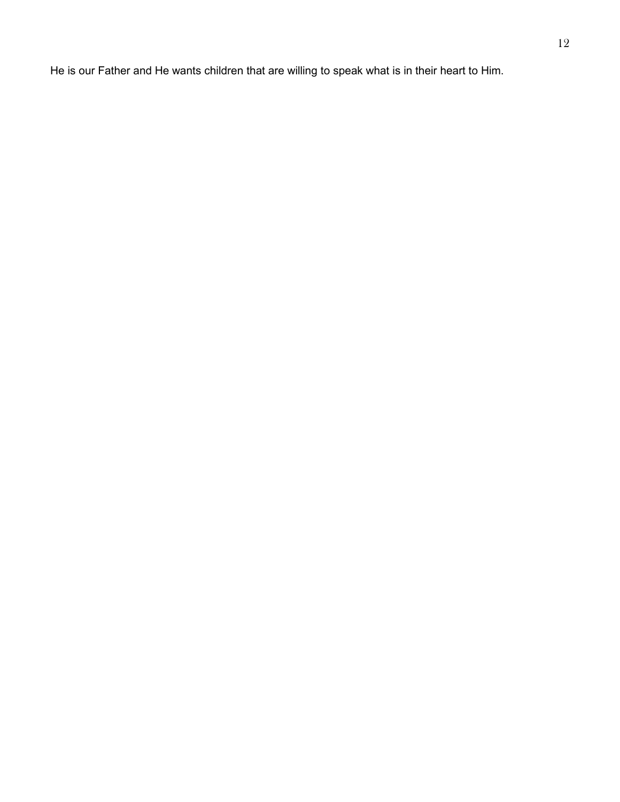He is our Father and He wants children that are willing to speak what is in their heart to Him.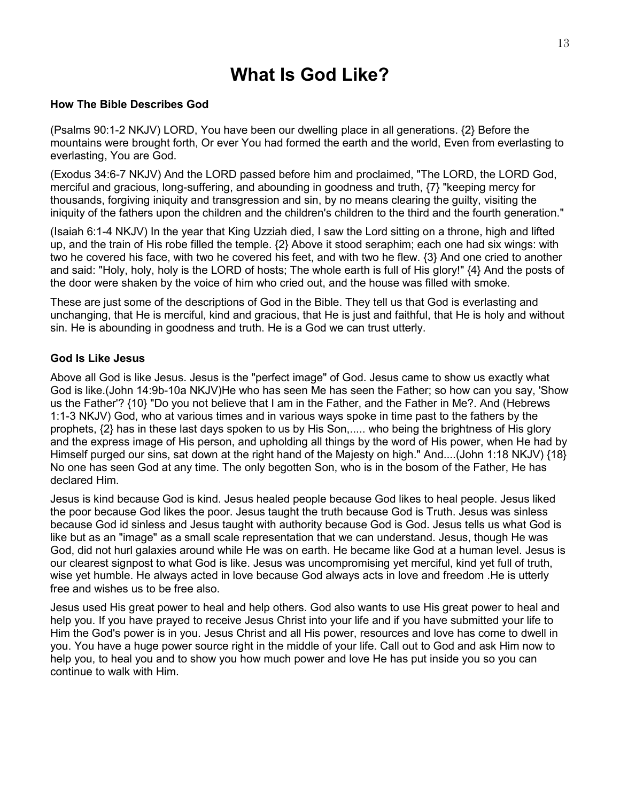# **What Is God Like?**

#### **How The Bible Describes God**

(Psalms 90:1-2 NKJV) LORD, You have been our dwelling place in all generations. {2} Before the mountains were brought forth, Or ever You had formed the earth and the world, Even from everlasting to everlasting, You are God.

(Exodus 34:6-7 NKJV) And the LORD passed before him and proclaimed, "The LORD, the LORD God, merciful and gracious, long-suffering, and abounding in goodness and truth, {7} "keeping mercy for thousands, forgiving iniquity and transgression and sin, by no means clearing the guilty, visiting the iniquity of the fathers upon the children and the children's children to the third and the fourth generation."

(Isaiah 6:1-4 NKJV) In the year that King Uzziah died, I saw the Lord sitting on a throne, high and lifted up, and the train of His robe filled the temple. {2} Above it stood seraphim; each one had six wings: with two he covered his face, with two he covered his feet, and with two he flew. {3} And one cried to another and said: "Holy, holy, holy is the LORD of hosts; The whole earth is full of His glory!" {4} And the posts of the door were shaken by the voice of him who cried out, and the house was filled with smoke.

These are just some of the descriptions of God in the Bible. They tell us that God is everlasting and unchanging, that He is merciful, kind and gracious, that He is just and faithful, that He is holy and without sin. He is abounding in goodness and truth. He is a God we can trust utterly.

#### **God Is Like Jesus**

Above all God is like Jesus. Jesus is the "perfect image" of God. Jesus came to show us exactly what God is like.(John 14:9b-10a NKJV)He who has seen Me has seen the Father; so how can you say, 'Show us the Father'? {10} "Do you not believe that I am in the Father, and the Father in Me?. And (Hebrews 1:1-3 NKJV) God, who at various times and in various ways spoke in time past to the fathers by the prophets, {2} has in these last days spoken to us by His Son,..... who being the brightness of His glory and the express image of His person, and upholding all things by the word of His power, when He had by Himself purged our sins, sat down at the right hand of the Majesty on high." And....(John 1:18 NKJV) {18} No one has seen God at any time. The only begotten Son, who is in the bosom of the Father, He has declared Him.

Jesus is kind because God is kind. Jesus healed people because God likes to heal people. Jesus liked the poor because God likes the poor. Jesus taught the truth because God is Truth. Jesus was sinless because God id sinless and Jesus taught with authority because God is God. Jesus tells us what God is like but as an "image" as a small scale representation that we can understand. Jesus, though He was God, did not hurl galaxies around while He was on earth. He became like God at a human level. Jesus is our clearest signpost to what God is like. Jesus was uncompromising yet merciful, kind yet full of truth, wise yet humble. He always acted in love because God always acts in love and freedom .He is utterly free and wishes us to be free also.

Jesus used His great power to heal and help others. God also wants to use His great power to heal and help you. If you have prayed to receive Jesus Christ into your life and if you have submitted your life to Him the God's power is in you. Jesus Christ and all His power, resources and love has come to dwell in you. You have a huge power source right in the middle of your life. Call out to God and ask Him now to help you, to heal you and to show you how much power and love He has put inside you so you can continue to walk with Him.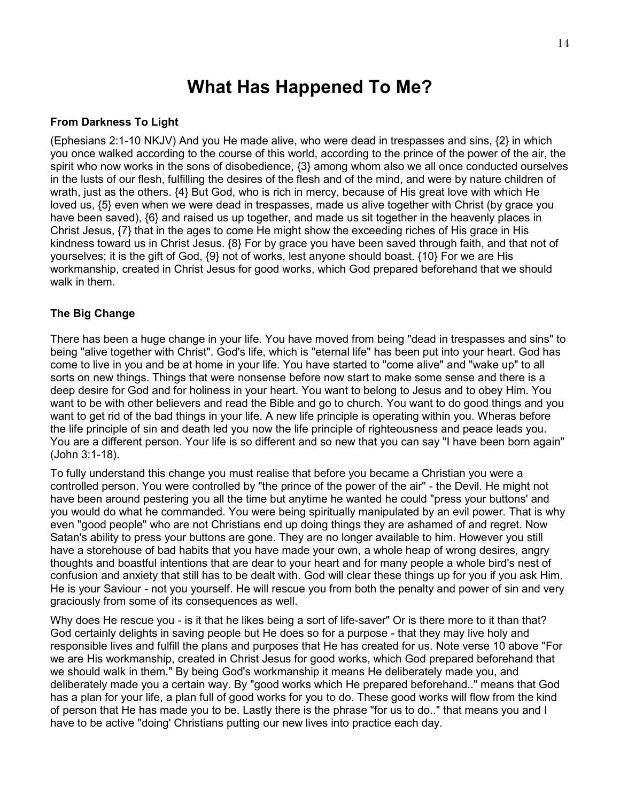# **What Has Happened To Me?**

#### **From Darkness To Light**

(Ephesians 2:1-10 NKJV) And you He made alive, who were dead in trespasses and sins, {2} in which you once walked according to the course of this world, according to the prince of the power of the air, the spirit who now works in the sons of disobedience, {3} among whom also we all once conducted ourselves in the lusts of our flesh, fulfilling the desires of the flesh and of the mind, and were by nature children of wrath, just as the others. {4} But God, who is rich in mercy, because of His great love with which He loved us, {5} even when we were dead in trespasses, made us alive together with Christ (by grace you have been saved),  $\{6\}$  and raised us up together, and made us sit together in the heavenly places in Christ Jesus, {7} that in the ages to come He might show the exceeding riches of His grace in His kindness toward us in Christ Jesus. {8} For by grace you have been saved through faith, and that not of yourselves; it is the gift of God, {9} not of works, lest anyone should boast. {10} For we are His workmanship, created in Christ Jesus for good works, which God prepared beforehand that we should walk in them.

#### **The Big Change**

There has been a huge change in your life. You have moved from being "dead in trespasses and sins" to being "alive together with Christ". God's life, which is "eternal life" has been put into your heart. God has come to live in you and be at home in your life. You have started to "come alive" and "wake up" to all sorts on new things. Things that were nonsense before now start to make some sense and there is a deep desire for God and for holiness in your heart. You want to belong to Jesus and to obey Him. You want to be with other believers and read the Bible and go to church. You want to do good things and you want to get rid of the bad things in your life. A new life principle is operating within you. Wheras before the life principle of sin and death led you now the life principle of righteousness and peace leads you. You are a different person. Your life is so different and so new that you can say "I have been born again" (John 3:1-18).

To fully understand this change you must realise that before you became a Christian you were a controlled person. You were controlled by "the prince of the power of the air" - the Devil. He might not have been around pestering you all the time but anytime he wanted he could "press your buttons' and you would do what he commanded. You were being spiritually manipulated by an evil power. That is why even "good people" who are not Christians end up doing things they are ashamed of and regret. Now Satan's ability to press your buttons are gone. They are no longer available to him. However you still have a storehouse of bad habits that you have made your own, a whole heap of wrong desires, angry thoughts and boastful intentions that are dear to your heart and for many people a whole bird's nest of confusion and anxiety that still has to be dealt with. God will clear these things up for you if you ask Him. He is your Saviour - not you yourself. He will rescue you from both the penalty and power of sin and very graciously from some of its consequences as well.

Why does He rescue you - is it that he likes being a sort of life-saver" Or is there more to it than that? God certainly delights in saving people but He does so for a purpose - that they may live holy and responsible lives and fulfill the plans and purposes that He has created for us. Note verse 10 above "For we are His workmanship, created in Christ Jesus for good works, which God prepared beforehand that we should walk in them." By being God's workmanship it means He deliberately made you, and deliberately made you a certain way. By "good works which He prepared beforehand.." means that God has a plan for your life, a plan full of good works for you to do. These good works will flow from the kind of person that He has made you to be. Lastly there is the phrase "for us to do.." that means you and I have to be active "doing' Christians putting our new lives into practice each day.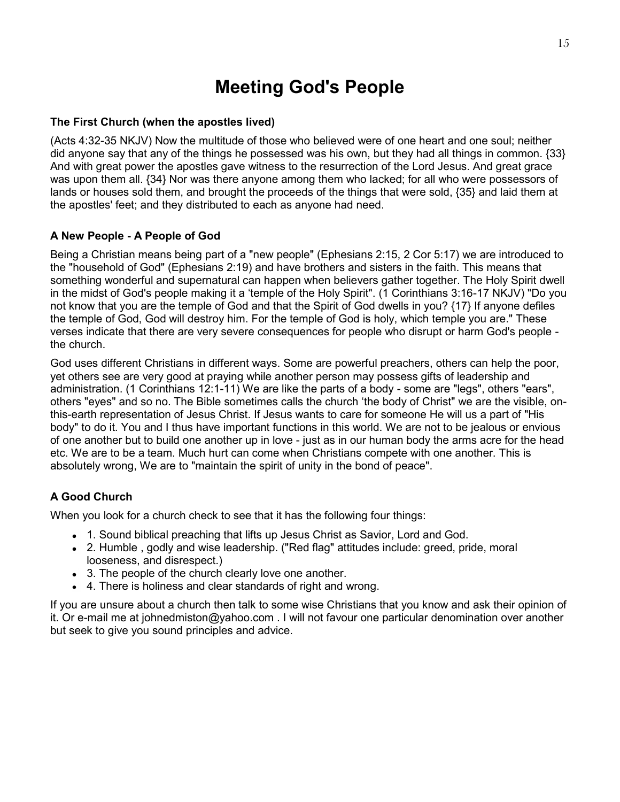# **Meeting God's People**

#### **The First Church (when the apostles lived)**

(Acts 4:32-35 NKJV) Now the multitude of those who believed were of one heart and one soul; neither did anyone say that any of the things he possessed was his own, but they had all things in common. {33} And with great power the apostles gave witness to the resurrection of the Lord Jesus. And great grace was upon them all. {34} Nor was there anyone among them who lacked; for all who were possessors of lands or houses sold them, and brought the proceeds of the things that were sold, {35} and laid them at the apostles' feet; and they distributed to each as anyone had need.

#### **A New People - A People of God**

Being a Christian means being part of a "new people" (Ephesians 2:15, 2 Cor 5:17) we are introduced to the "household of God" (Ephesians 2:19) and have brothers and sisters in the faith. This means that something wonderful and supernatural can happen when believers gather together. The Holy Spirit dwell in the midst of God's people making it a "temple of the Holy Spirit". (1 Corinthians 3:16-17 NKJV) "Do you not know that you are the temple of God and that the Spirit of God dwells in you? {17} If anyone defiles the temple of God, God will destroy him. For the temple of God is holy, which temple you are." These verses indicate that there are very severe consequences for people who disrupt or harm God's people the church.

God uses different Christians in different ways. Some are powerful preachers, others can help the poor, yet others see are very good at praying while another person may possess gifts of leadership and administration. (1 Corinthians 12:1-11) We are like the parts of a body - some are "legs", others "ears", others "eyes" and so no. The Bible sometimes calls the church "the body of Christ" we are the visible, onthis-earth representation of Jesus Christ. If Jesus wants to care for someone He will us a part of "His body" to do it. You and I thus have important functions in this world. We are not to be jealous or envious of one another but to build one another up in love - just as in our human body the arms acre for the head etc. We are to be a team. Much hurt can come when Christians compete with one another. This is absolutely wrong, We are to "maintain the spirit of unity in the bond of peace".

#### **A Good Church**

When you look for a church check to see that it has the following four things:

- 1. Sound biblical preaching that lifts up Jesus Christ as Savior, Lord and God.
- 2. Humble , godly and wise leadership. ("Red flag" attitudes include: greed, pride, moral looseness, and disrespect.)
- 3. The people of the church clearly love one another.
- 4. There is holiness and clear standards of right and wrong.

If you are unsure about a church then talk to some wise Christians that you know and ask their opinion of it. Or e-mail me at johnedmiston@yahoo.com . I will not favour one particular denomination over another but seek to give you sound principles and advice.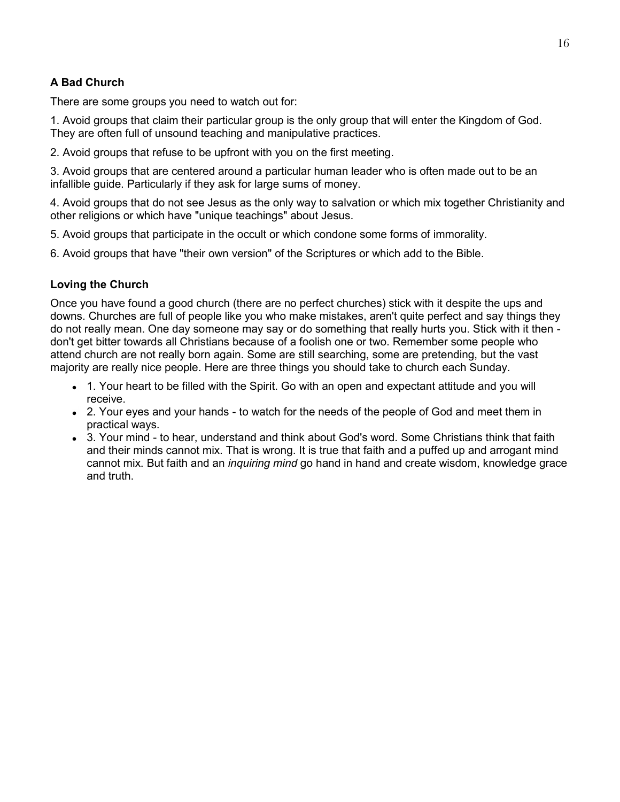## **A Bad Church**

There are some groups you need to watch out for:

1. Avoid groups that claim their particular group is the only group that will enter the Kingdom of God. They are often full of unsound teaching and manipulative practices.

2. Avoid groups that refuse to be upfront with you on the first meeting.

3. Avoid groups that are centered around a particular human leader who is often made out to be an infallible guide. Particularly if they ask for large sums of money.

4. Avoid groups that do not see Jesus as the only way to salvation or which mix together Christianity and other religions or which have "unique teachings" about Jesus.

5. Avoid groups that participate in the occult or which condone some forms of immorality.

6. Avoid groups that have "their own version" of the Scriptures or which add to the Bible.

## **Loving the Church**

Once you have found a good church (there are no perfect churches) stick with it despite the ups and downs. Churches are full of people like you who make mistakes, aren't quite perfect and say things they do not really mean. One day someone may say or do something that really hurts you. Stick with it then don't get bitter towards all Christians because of a foolish one or two. Remember some people who attend church are not really born again. Some are still searching, some are pretending, but the vast majority are really nice people. Here are three things you should take to church each Sunday.

- 1. Your heart to be filled with the Spirit. Go with an open and expectant attitude and you will receive.
- 2. Your eyes and your hands to watch for the needs of the people of God and meet them in practical ways.
- 3. Your mind to hear, understand and think about God's word. Some Christians think that faith and their minds cannot mix. That is wrong. It is true that faith and a puffed up and arrogant mind cannot mix. But faith and an *inquiring mind* go hand in hand and create wisdom, knowledge grace and truth.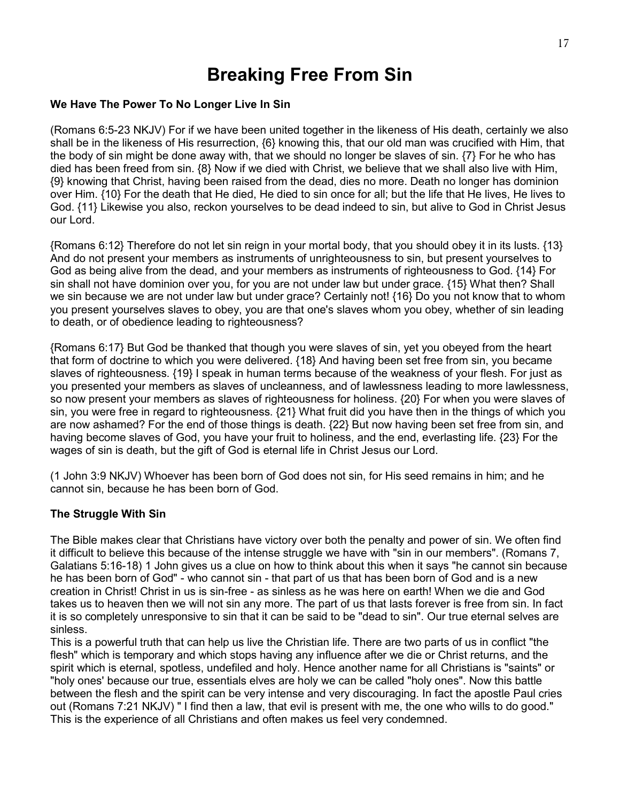# **Breaking Free From Sin**

#### **We Have The Power To No Longer Live In Sin**

(Romans 6:5-23 NKJV) For if we have been united together in the likeness of His death, certainly we also shall be in the likeness of His resurrection, {6} knowing this, that our old man was crucified with Him, that the body of sin might be done away with, that we should no longer be slaves of sin. {7} For he who has died has been freed from sin. {8} Now if we died with Christ, we believe that we shall also live with Him, {9} knowing that Christ, having been raised from the dead, dies no more. Death no longer has dominion over Him. {10} For the death that He died, He died to sin once for all; but the life that He lives, He lives to God. {11} Likewise you also, reckon yourselves to be dead indeed to sin, but alive to God in Christ Jesus our Lord.

{Romans 6:12} Therefore do not let sin reign in your mortal body, that you should obey it in its lusts. {13} And do not present your members as instruments of unrighteousness to sin, but present yourselves to God as being alive from the dead, and your members as instruments of righteousness to God. {14} For sin shall not have dominion over you, for you are not under law but under grace. {15} What then? Shall we sin because we are not under law but under grace? Certainly not! {16} Do you not know that to whom you present yourselves slaves to obey, you are that one's slaves whom you obey, whether of sin leading to death, or of obedience leading to righteousness?

{Romans 6:17} But God be thanked that though you were slaves of sin, yet you obeyed from the heart that form of doctrine to which you were delivered. {18} And having been set free from sin, you became slaves of righteousness. {19} I speak in human terms because of the weakness of your flesh. For just as you presented your members as slaves of uncleanness, and of lawlessness leading to more lawlessness, so now present your members as slaves of righteousness for holiness. {20} For when you were slaves of sin, you were free in regard to righteousness. {21} What fruit did you have then in the things of which you are now ashamed? For the end of those things is death. {22} But now having been set free from sin, and having become slaves of God, you have your fruit to holiness, and the end, everlasting life. {23} For the wages of sin is death, but the gift of God is eternal life in Christ Jesus our Lord.

(1 John 3:9 NKJV) Whoever has been born of God does not sin, for His seed remains in him; and he cannot sin, because he has been born of God.

#### **The Struggle With Sin**

The Bible makes clear that Christians have victory over both the penalty and power of sin. We often find it difficult to believe this because of the intense struggle we have with "sin in our members". (Romans 7, Galatians 5:16-18) 1 John gives us a clue on how to think about this when it says "he cannot sin because he has been born of God" - who cannot sin - that part of us that has been born of God and is a new creation in Christ! Christ in us is sin-free - as sinless as he was here on earth! When we die and God takes us to heaven then we will not sin any more. The part of us that lasts forever is free from sin. In fact it is so completely unresponsive to sin that it can be said to be "dead to sin". Our true eternal selves are sinless.

This is a powerful truth that can help us live the Christian life. There are two parts of us in conflict "the flesh" which is temporary and which stops having any influence after we die or Christ returns, and the spirit which is eternal, spotless, undefiled and holy. Hence another name for all Christians is "saints" or "holy ones' because our true, essentials elves are holy we can be called "holy ones". Now this battle between the flesh and the spirit can be very intense and very discouraging. In fact the apostle Paul cries out (Romans 7:21 NKJV) " I find then a law, that evil is present with me, the one who wills to do good." This is the experience of all Christians and often makes us feel very condemned.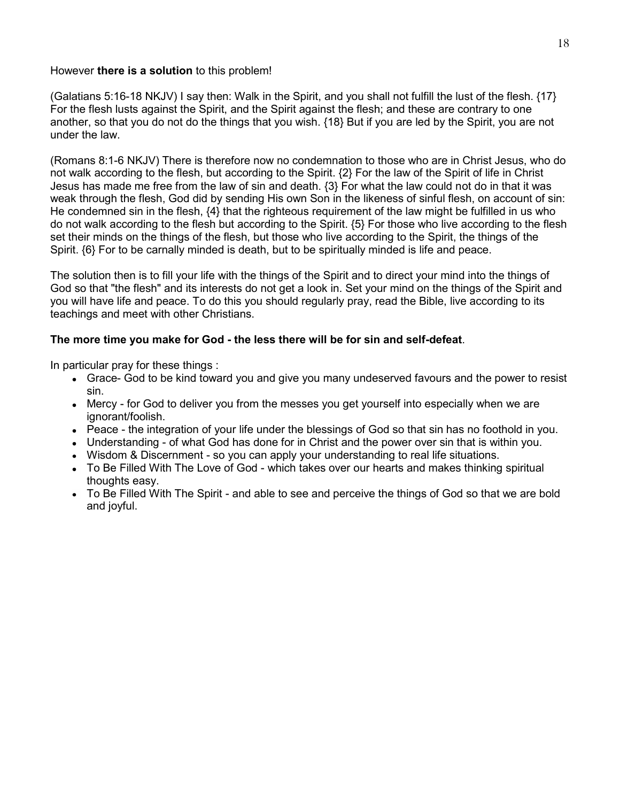#### However **there is a solution** to this problem!

(Galatians 5:16-18 NKJV) I say then: Walk in the Spirit, and you shall not fulfill the lust of the flesh. {17} For the flesh lusts against the Spirit, and the Spirit against the flesh; and these are contrary to one another, so that you do not do the things that you wish. {18} But if you are led by the Spirit, you are not under the law.

(Romans 8:1-6 NKJV) There is therefore now no condemnation to those who are in Christ Jesus, who do not walk according to the flesh, but according to the Spirit. {2} For the law of the Spirit of life in Christ Jesus has made me free from the law of sin and death. {3} For what the law could not do in that it was weak through the flesh, God did by sending His own Son in the likeness of sinful flesh, on account of sin: He condemned sin in the flesh, {4} that the righteous requirement of the law might be fulfilled in us who do not walk according to the flesh but according to the Spirit. {5} For those who live according to the flesh set their minds on the things of the flesh, but those who live according to the Spirit, the things of the Spirit. {6} For to be carnally minded is death, but to be spiritually minded is life and peace.

The solution then is to fill your life with the things of the Spirit and to direct your mind into the things of God so that "the flesh" and its interests do not get a look in. Set your mind on the things of the Spirit and you will have life and peace. To do this you should regularly pray, read the Bible, live according to its teachings and meet with other Christians.

#### **The more time you make for God - the less there will be for sin and self-defeat**.

In particular pray for these things :

- Grace- God to be kind toward you and give you many undeserved favours and the power to resist sin.
- Mercy for God to deliver you from the messes you get yourself into especially when we are ignorant/foolish.
- Peace the integration of your life under the blessings of God so that sin has no foothold in you.
- Understanding of what God has done for in Christ and the power over sin that is within you.
- Wisdom & Discernment so you can apply your understanding to real life situations.
- To Be Filled With The Love of God which takes over our hearts and makes thinking spiritual thoughts easy.
- To Be Filled With The Spirit and able to see and perceive the things of God so that we are bold and joyful.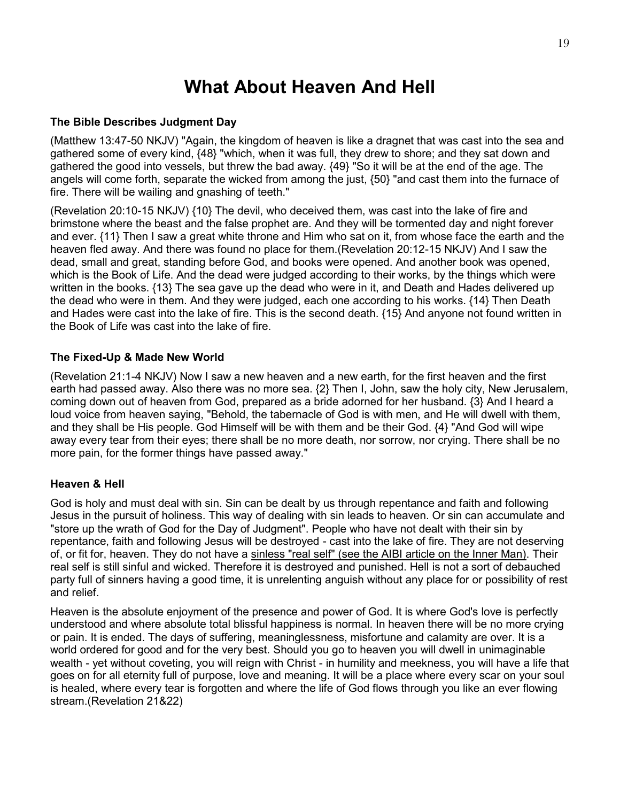# **What About Heaven And Hell**

#### **The Bible Describes Judgment Day**

(Matthew 13:47-50 NKJV) "Again, the kingdom of heaven is like a dragnet that was cast into the sea and gathered some of every kind, {48} "which, when it was full, they drew to shore; and they sat down and gathered the good into vessels, but threw the bad away. {49} "So it will be at the end of the age. The angels will come forth, separate the wicked from among the just, {50} "and cast them into the furnace of fire. There will be wailing and gnashing of teeth."

(Revelation 20:10-15 NKJV) {10} The devil, who deceived them, was cast into the lake of fire and brimstone where the beast and the false prophet are. And they will be tormented day and night forever and ever. {11} Then I saw a great white throne and Him who sat on it, from whose face the earth and the heaven fled away. And there was found no place for them.(Revelation 20:12-15 NKJV) And I saw the dead, small and great, standing before God, and books were opened. And another book was opened, which is the Book of Life. And the dead were judged according to their works, by the things which were written in the books. {13} The sea gave up the dead who were in it, and Death and Hades delivered up the dead who were in them. And they were judged, each one according to his works. {14} Then Death and Hades were cast into the lake of fire. This is the second death. {15} And anyone not found written in the Book of Life was cast into the lake of fire.

## **The Fixed-Up & Made New World**

(Revelation 21:1-4 NKJV) Now I saw a new heaven and a new earth, for the first heaven and the first earth had passed away. Also there was no more sea. {2} Then I, John, saw the holy city, New Jerusalem, coming down out of heaven from God, prepared as a bride adorned for her husband. {3} And I heard a loud voice from heaven saying, "Behold, the tabernacle of God is with men, and He will dwell with them, and they shall be His people. God Himself will be with them and be their God. {4} "And God will wipe away every tear from their eyes; there shall be no more death, nor sorrow, nor crying. There shall be no more pain, for the former things have passed away."

## **Heaven & Hell**

God is holy and must deal with sin. Sin can be dealt by us through repentance and faith and following Jesus in the pursuit of holiness. This way of dealing with sin leads to heaven. Or sin can accumulate and "store up the wrath of God for the Day of Judgment". People who have not dealt with their sin by repentance, faith and following Jesus will be destroyed - cast into the lake of fire. They are not deserving of, or fit for, heaven. They do not have a [sinless "real self" \(see the AIBI article on the Inner Man\).](http://aibi.gospelcom.net/articles/fllwup7.htm) Their real self is still sinful and wicked. Therefore it is destroyed and punished. Hell is not a sort of debauched party full of sinners having a good time, it is unrelenting anguish without any place for or possibility of rest and relief.

Heaven is the absolute enjoyment of the presence and power of God. It is where God's love is perfectly understood and where absolute total blissful happiness is normal. In heaven there will be no more crying or pain. It is ended. The days of suffering, meaninglessness, misfortune and calamity are over. It is a world ordered for good and for the very best. Should you go to heaven you will dwell in unimaginable wealth - yet without coveting, you will reign with Christ - in humility and meekness, you will have a life that goes on for all eternity full of purpose, love and meaning. It will be a place where every scar on your soul is healed, where every tear is forgotten and where the life of God flows through you like an ever flowing stream.(Revelation 21&22)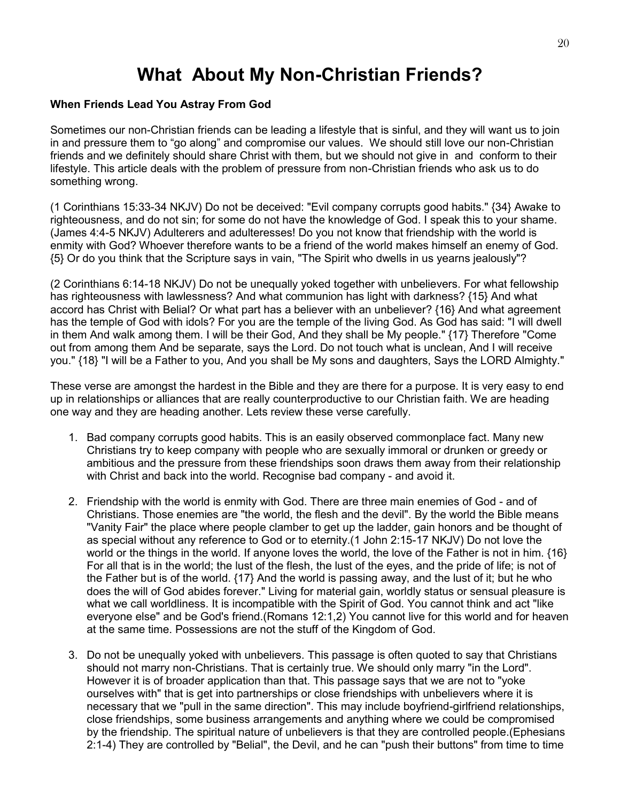# **What About My Non-Christian Friends?**

#### **When Friends Lead You Astray From God**

Sometimes our non-Christian friends can be leading a lifestyle that is sinful, and they will want us to join in and pressure them to "go along" and compromise our values. We should still love our non-Christian friends and we definitely should share Christ with them, but we should not give in and conform to their lifestyle. This article deals with the problem of pressure from non-Christian friends who ask us to do something wrong.

(1 Corinthians 15:33-34 NKJV) Do not be deceived: "Evil company corrupts good habits." {34} Awake to righteousness, and do not sin; for some do not have the knowledge of God. I speak this to your shame. (James 4:4-5 NKJV) Adulterers and adulteresses! Do you not know that friendship with the world is enmity with God? Whoever therefore wants to be a friend of the world makes himself an enemy of God. {5} Or do you think that the Scripture says in vain, "The Spirit who dwells in us yearns jealously"?

(2 Corinthians 6:14-18 NKJV) Do not be unequally yoked together with unbelievers. For what fellowship has righteousness with lawlessness? And what communion has light with darkness? {15} And what accord has Christ with Belial? Or what part has a believer with an unbeliever? {16} And what agreement has the temple of God with idols? For you are the temple of the living God. As God has said: "I will dwell in them And walk among them. I will be their God, And they shall be My people." {17} Therefore "Come out from among them And be separate, says the Lord. Do not touch what is unclean, And I will receive you." {18} "I will be a Father to you, And you shall be My sons and daughters, Says the LORD Almighty."

These verse are amongst the hardest in the Bible and they are there for a purpose. It is very easy to end up in relationships or alliances that are really counterproductive to our Christian faith. We are heading one way and they are heading another. Lets review these verse carefully.

- 1. Bad company corrupts good habits. This is an easily observed commonplace fact. Many new Christians try to keep company with people who are sexually immoral or drunken or greedy or ambitious and the pressure from these friendships soon draws them away from their relationship with Christ and back into the world. Recognise bad company - and avoid it.
- 2. Friendship with the world is enmity with God. There are three main enemies of God and of Christians. Those enemies are "the world, the flesh and the devil". By the world the Bible means "Vanity Fair" the place where people clamber to get up the ladder, gain honors and be thought of as special without any reference to God or to eternity.(1 John 2:15-17 NKJV) Do not love the world or the things in the world. If anyone loves the world, the love of the Father is not in him. {16} For all that is in the world; the lust of the flesh, the lust of the eyes, and the pride of life; is not of the Father but is of the world. {17} And the world is passing away, and the lust of it; but he who does the will of God abides forever." Living for material gain, worldly status or sensual pleasure is what we call worldliness. It is incompatible with the Spirit of God. You cannot think and act "like everyone else" and be God's friend.(Romans 12:1,2) You cannot live for this world and for heaven at the same time. Possessions are not the stuff of the Kingdom of God.
- 3. Do not be unequally yoked with unbelievers. This passage is often quoted to say that Christians should not marry non-Christians. That is certainly true. We should only marry "in the Lord". However it is of broader application than that. This passage says that we are not to "yoke ourselves with" that is get into partnerships or close friendships with unbelievers where it is necessary that we "pull in the same direction". This may include boyfriend-girlfriend relationships, close friendships, some business arrangements and anything where we could be compromised by the friendship. The spiritual nature of unbelievers is that they are controlled people.(Ephesians 2:1-4) They are controlled by "Belial", the Devil, and he can "push their buttons" from time to time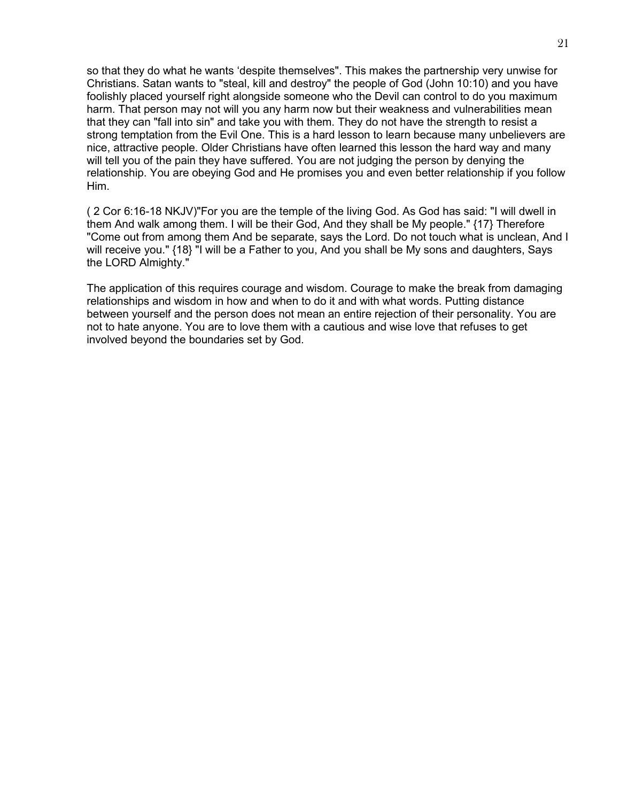so that they do what he wants "despite themselves". This makes the partnership very unwise for Christians. Satan wants to "steal, kill and destroy" the people of God (John 10:10) and you have foolishly placed yourself right alongside someone who the Devil can control to do you maximum harm. That person may not will you any harm now but their weakness and vulnerabilities mean that they can "fall into sin" and take you with them. They do not have the strength to resist a strong temptation from the Evil One. This is a hard lesson to learn because many unbelievers are nice, attractive people. Older Christians have often learned this lesson the hard way and many will tell you of the pain they have suffered. You are not judging the person by denying the relationship. You are obeying God and He promises you and even better relationship if you follow Him.

( 2 Cor 6:16-18 NKJV)"For you are the temple of the living God. As God has said: "I will dwell in them And walk among them. I will be their God, And they shall be My people." {17} Therefore "Come out from among them And be separate, says the Lord. Do not touch what is unclean, And I will receive you." {18} "I will be a Father to you, And you shall be My sons and daughters, Says the LORD Almighty."

The application of this requires courage and wisdom. Courage to make the break from damaging relationships and wisdom in how and when to do it and with what words. Putting distance between yourself and the person does not mean an entire rejection of their personality. You are not to hate anyone. You are to love them with a cautious and wise love that refuses to get involved beyond the boundaries set by God.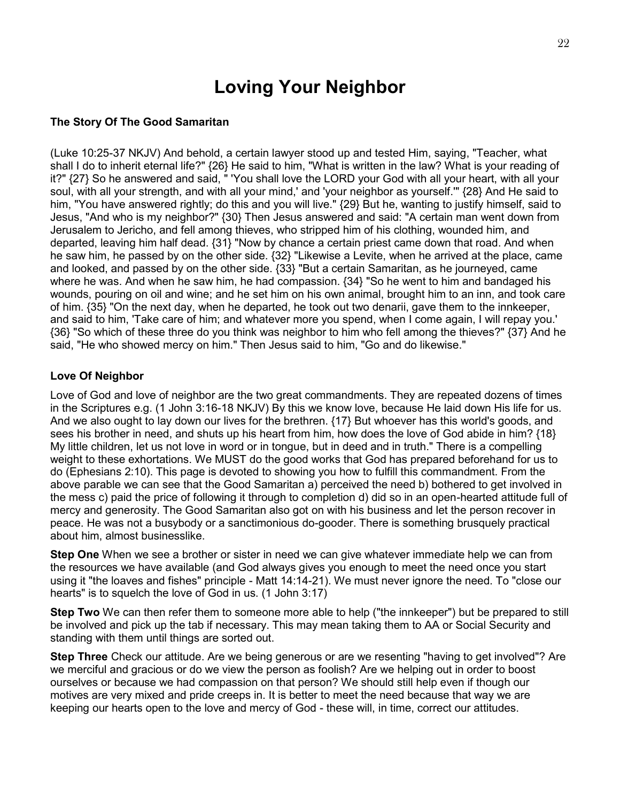# **Loving Your Neighbor**

#### **The Story Of The Good Samaritan**

(Luke 10:25-37 NKJV) And behold, a certain lawyer stood up and tested Him, saying, "Teacher, what shall I do to inherit eternal life?" {26} He said to him, "What is written in the law? What is your reading of it?" {27} So he answered and said, " 'You shall love the LORD your God with all your heart, with all your soul, with all your strength, and with all your mind,' and 'your neighbor as yourself.'" {28} And He said to him, "You have answered rightly; do this and you will live." {29} But he, wanting to justify himself, said to Jesus, "And who is my neighbor?" {30} Then Jesus answered and said: "A certain man went down from Jerusalem to Jericho, and fell among thieves, who stripped him of his clothing, wounded him, and departed, leaving him half dead. {31} "Now by chance a certain priest came down that road. And when he saw him, he passed by on the other side. {32} "Likewise a Levite, when he arrived at the place, came and looked, and passed by on the other side. {33} "But a certain Samaritan, as he journeyed, came where he was. And when he saw him, he had compassion. {34} "So he went to him and bandaged his wounds, pouring on oil and wine; and he set him on his own animal, brought him to an inn, and took care of him. {35} "On the next day, when he departed, he took out two denarii, gave them to the innkeeper, and said to him, 'Take care of him; and whatever more you spend, when I come again, I will repay you.' {36} "So which of these three do you think was neighbor to him who fell among the thieves?" {37} And he said, "He who showed mercy on him." Then Jesus said to him, "Go and do likewise."

#### **Love Of Neighbor**

Love of God and love of neighbor are the two great commandments. They are repeated dozens of times in the Scriptures e.g. (1 John 3:16-18 NKJV) By this we know love, because He laid down His life for us. And we also ought to lay down our lives for the brethren. {17} But whoever has this world's goods, and sees his brother in need, and shuts up his heart from him, how does the love of God abide in him? {18} My little children, let us not love in word or in tongue, but in deed and in truth." There is a compelling weight to these exhortations. We MUST do the good works that God has prepared beforehand for us to do (Ephesians 2:10). This page is devoted to showing you how to fulfill this commandment. From the above parable we can see that the Good Samaritan a) perceived the need b) bothered to get involved in the mess c) paid the price of following it through to completion d) did so in an open-hearted attitude full of mercy and generosity. The Good Samaritan also got on with his business and let the person recover in peace. He was not a busybody or a sanctimonious do-gooder. There is something brusquely practical about him, almost businesslike.

**Step One** When we see a brother or sister in need we can give whatever immediate help we can from the resources we have available (and God always gives you enough to meet the need once you start using it "the loaves and fishes" principle - Matt 14:14-21). We must never ignore the need. To "close our hearts" is to squelch the love of God in us. (1 John 3:17)

**Step Two** We can then refer them to someone more able to help ("the innkeeper") but be prepared to still be involved and pick up the tab if necessary. This may mean taking them to AA or Social Security and standing with them until things are sorted out.

**Step Three** Check our attitude. Are we being generous or are we resenting "having to get involved"? Are we merciful and gracious or do we view the person as foolish? Are we helping out in order to boost ourselves or because we had compassion on that person? We should still help even if though our motives are very mixed and pride creeps in. It is better to meet the need because that way we are keeping our hearts open to the love and mercy of God - these will, in time, correct our attitudes.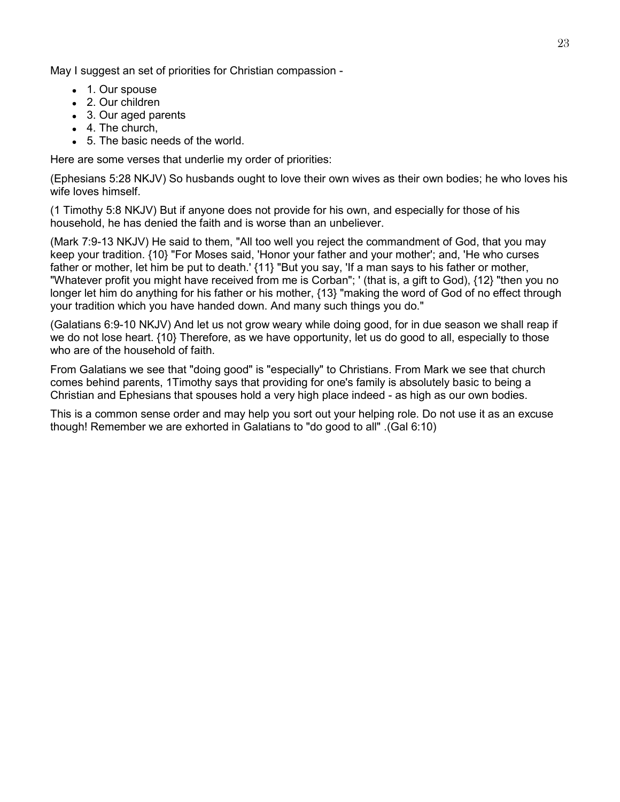May I suggest an set of priorities for Christian compassion -

- 1. Our spouse
- 2. Our children
- 3. Our aged parents
- 4. The church,
- 5. The basic needs of the world.

Here are some verses that underlie my order of priorities:

(Ephesians 5:28 NKJV) So husbands ought to love their own wives as their own bodies; he who loves his wife loves himself.

(1 Timothy 5:8 NKJV) But if anyone does not provide for his own, and especially for those of his household, he has denied the faith and is worse than an unbeliever.

(Mark 7:9-13 NKJV) He said to them, "All too well you reject the commandment of God, that you may keep your tradition. {10} "For Moses said, 'Honor your father and your mother'; and, 'He who curses father or mother, let him be put to death.' {11} "But you say, 'If a man says to his father or mother, "Whatever profit you might have received from me is Corban"; ' (that is, a gift to God), {12} "then you no longer let him do anything for his father or his mother, {13} "making the word of God of no effect through your tradition which you have handed down. And many such things you do."

(Galatians 6:9-10 NKJV) And let us not grow weary while doing good, for in due season we shall reap if we do not lose heart. {10} Therefore, as we have opportunity, let us do good to all, especially to those who are of the household of faith.

From Galatians we see that "doing good" is "especially" to Christians. From Mark we see that church comes behind parents, 1Timothy says that providing for one's family is absolutely basic to being a Christian and Ephesians that spouses hold a very high place indeed - as high as our own bodies.

This is a common sense order and may help you sort out your helping role. Do not use it as an excuse though! Remember we are exhorted in Galatians to "do good to all" .(Gal 6:10)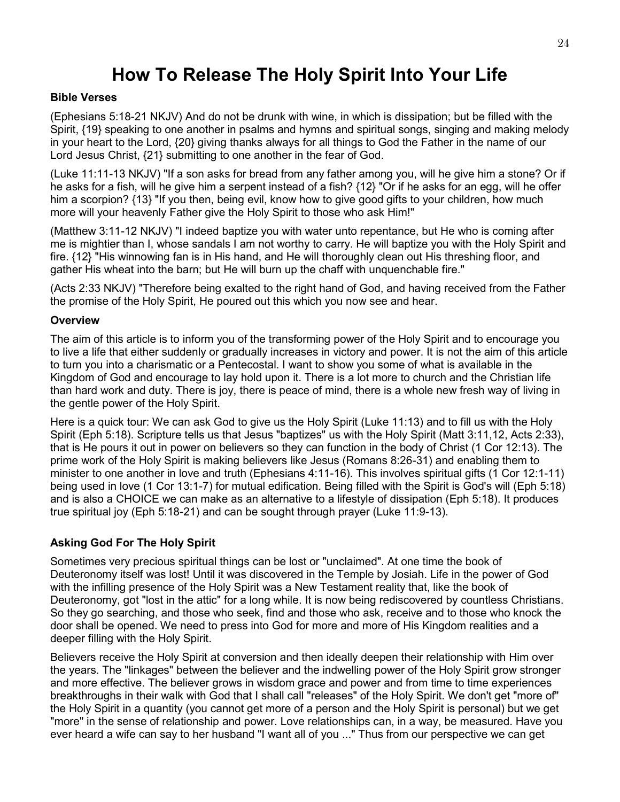# **How To Release The Holy Spirit Into Your Life**

#### **Bible Verses**

(Ephesians 5:18-21 NKJV) And do not be drunk with wine, in which is dissipation; but be filled with the Spirit, {19} speaking to one another in psalms and hymns and spiritual songs, singing and making melody in your heart to the Lord, {20} giving thanks always for all things to God the Father in the name of our Lord Jesus Christ, {21} submitting to one another in the fear of God.

(Luke 11:11-13 NKJV) "If a son asks for bread from any father among you, will he give him a stone? Or if he asks for a fish, will he give him a serpent instead of a fish? {12} "Or if he asks for an egg, will he offer him a scorpion? {13} "If you then, being evil, know how to give good gifts to your children, how much more will your heavenly Father give the Holy Spirit to those who ask Him!"

(Matthew 3:11-12 NKJV) "I indeed baptize you with water unto repentance, but He who is coming after me is mightier than I, whose sandals I am not worthy to carry. He will baptize you with the Holy Spirit and fire. {12} "His winnowing fan is in His hand, and He will thoroughly clean out His threshing floor, and gather His wheat into the barn; but He will burn up the chaff with unquenchable fire."

(Acts 2:33 NKJV) "Therefore being exalted to the right hand of God, and having received from the Father the promise of the Holy Spirit, He poured out this which you now see and hear.

## **Overview**

The aim of this article is to inform you of the transforming power of the Holy Spirit and to encourage you to live a life that either suddenly or gradually increases in victory and power. It is not the aim of this article to turn you into a charismatic or a Pentecostal. I want to show you some of what is available in the Kingdom of God and encourage to lay hold upon it. There is a lot more to church and the Christian life than hard work and duty. There is joy, there is peace of mind, there is a whole new fresh way of living in the gentle power of the Holy Spirit.

Here is a quick tour: We can ask God to give us the Holy Spirit (Luke 11:13) and to fill us with the Holy Spirit (Eph 5:18). Scripture tells us that Jesus "baptizes" us with the Holy Spirit (Matt 3:11,12, Acts 2:33), that is He pours it out in power on believers so they can function in the body of Christ (1 Cor 12:13). The prime work of the Holy Spirit is making believers like Jesus (Romans 8:26-31) and enabling them to minister to one another in love and truth (Ephesians 4:11-16). This involves spiritual gifts (1 Cor 12:1-11) being used in love (1 Cor 13:1-7) for mutual edification. Being filled with the Spirit is God's will (Eph 5:18) and is also a CHOICE we can make as an alternative to a lifestyle of dissipation (Eph 5:18). It produces true spiritual joy (Eph 5:18-21) and can be sought through prayer (Luke 11:9-13).

## **Asking God For The Holy Spirit**

Sometimes very precious spiritual things can be lost or "unclaimed". At one time the book of Deuteronomy itself was lost! Until it was discovered in the Temple by Josiah. Life in the power of God with the infilling presence of the Holy Spirit was a New Testament reality that, like the book of Deuteronomy, got "lost in the attic" for a long while. It is now being rediscovered by countless Christians. So they go searching, and those who seek, find and those who ask, receive and to those who knock the door shall be opened. We need to press into God for more and more of His Kingdom realities and a deeper filling with the Holy Spirit.

Believers receive the Holy Spirit at conversion and then ideally deepen their relationship with Him over the years. The "linkages" between the believer and the indwelling power of the Holy Spirit grow stronger and more effective. The believer grows in wisdom grace and power and from time to time experiences breakthroughs in their walk with God that I shall call "releases" of the Holy Spirit. We don't get "more of" the Holy Spirit in a quantity (you cannot get more of a person and the Holy Spirit is personal) but we get "more" in the sense of relationship and power. Love relationships can, in a way, be measured. Have you ever heard a wife can say to her husband "I want all of you ..." Thus from our perspective we can get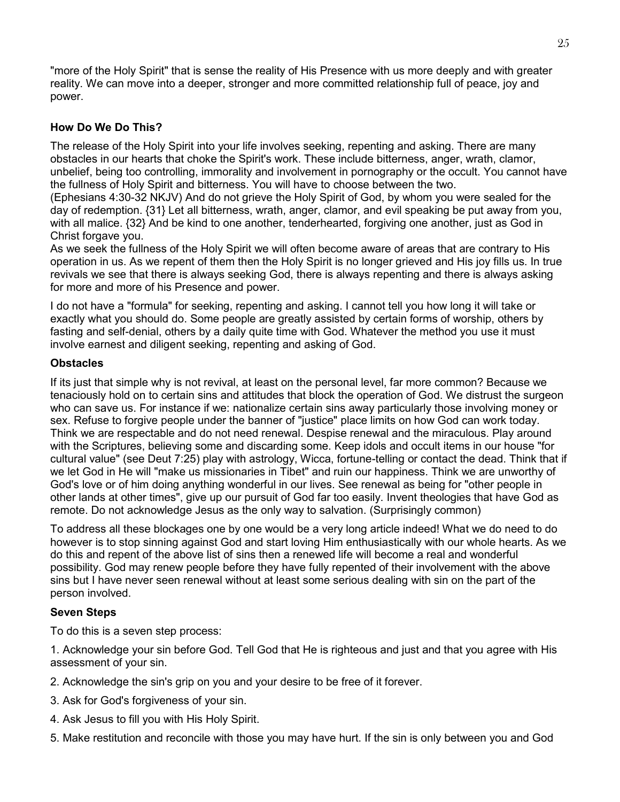"more of the Holy Spirit" that is sense the reality of His Presence with us more deeply and with greater reality. We can move into a deeper, stronger and more committed relationship full of peace, joy and power.

## **How Do We Do This?**

The release of the Holy Spirit into your life involves seeking, repenting and asking. There are many obstacles in our hearts that choke the Spirit's work. These include bitterness, anger, wrath, clamor, unbelief, being too controlling, immorality and involvement in pornography or the occult. You cannot have the fullness of Holy Spirit and bitterness. You will have to choose between the two.

(Ephesians 4:30-32 NKJV) And do not grieve the Holy Spirit of God, by whom you were sealed for the day of redemption. {31} Let all bitterness, wrath, anger, clamor, and evil speaking be put away from you, with all malice. {32} And be kind to one another, tenderhearted, forgiving one another, just as God in Christ forgave you.

As we seek the fullness of the Holy Spirit we will often become aware of areas that are contrary to His operation in us. As we repent of them then the Holy Spirit is no longer grieved and His joy fills us. In true revivals we see that there is always seeking God, there is always repenting and there is always asking for more and more of his Presence and power.

I do not have a "formula" for seeking, repenting and asking. I cannot tell you how long it will take or exactly what you should do. Some people are greatly assisted by certain forms of worship, others by fasting and self-denial, others by a daily quite time with God. Whatever the method you use it must involve earnest and diligent seeking, repenting and asking of God.

#### **Obstacles**

If its just that simple why is not revival, at least on the personal level, far more common? Because we tenaciously hold on to certain sins and attitudes that block the operation of God. We distrust the surgeon who can save us. For instance if we: nationalize certain sins away particularly those involving money or sex. Refuse to forgive people under the banner of "justice" place limits on how God can work today. Think we are respectable and do not need renewal. Despise renewal and the miraculous. Play around with the Scriptures, believing some and discarding some. Keep idols and occult items in our house "for cultural value" (see Deut 7:25) play with astrology, Wicca, fortune-telling or contact the dead. Think that if we let God in He will "make us missionaries in Tibet" and ruin our happiness. Think we are unworthy of God's love or of him doing anything wonderful in our lives. See renewal as being for "other people in other lands at other times", give up our pursuit of God far too easily. Invent theologies that have God as remote. Do not acknowledge Jesus as the only way to salvation. (Surprisingly common)

To address all these blockages one by one would be a very long article indeed! What we do need to do however is to stop sinning against God and start loving Him enthusiastically with our whole hearts. As we do this and repent of the above list of sins then a renewed life will become a real and wonderful possibility. God may renew people before they have fully repented of their involvement with the above sins but I have never seen renewal without at least some serious dealing with sin on the part of the person involved.

#### **Seven Steps**

To do this is a seven step process:

1. Acknowledge your sin before God. Tell God that He is righteous and just and that you agree with His assessment of your sin.

- 2. Acknowledge the sin's grip on you and your desire to be free of it forever.
- 3. Ask for God's forgiveness of your sin.
- 4. Ask Jesus to fill you with His Holy Spirit.
- 5. Make restitution and reconcile with those you may have hurt. If the sin is only between you and God